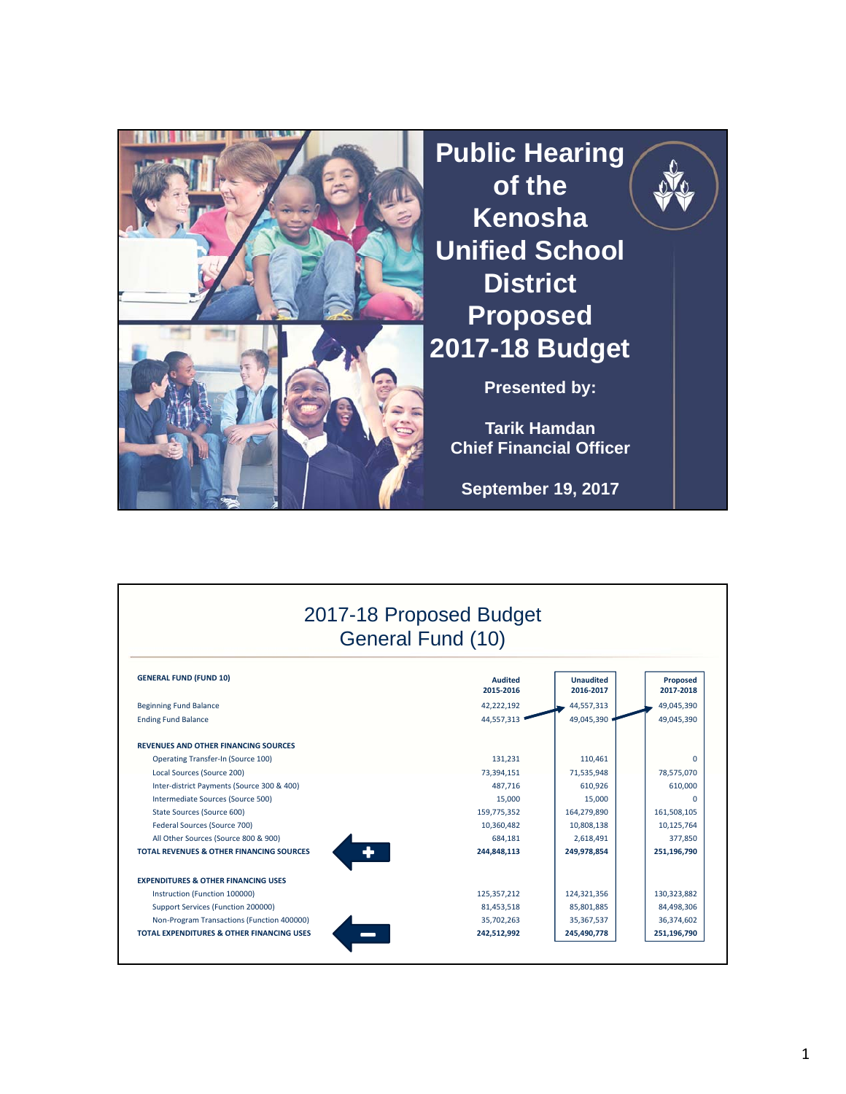

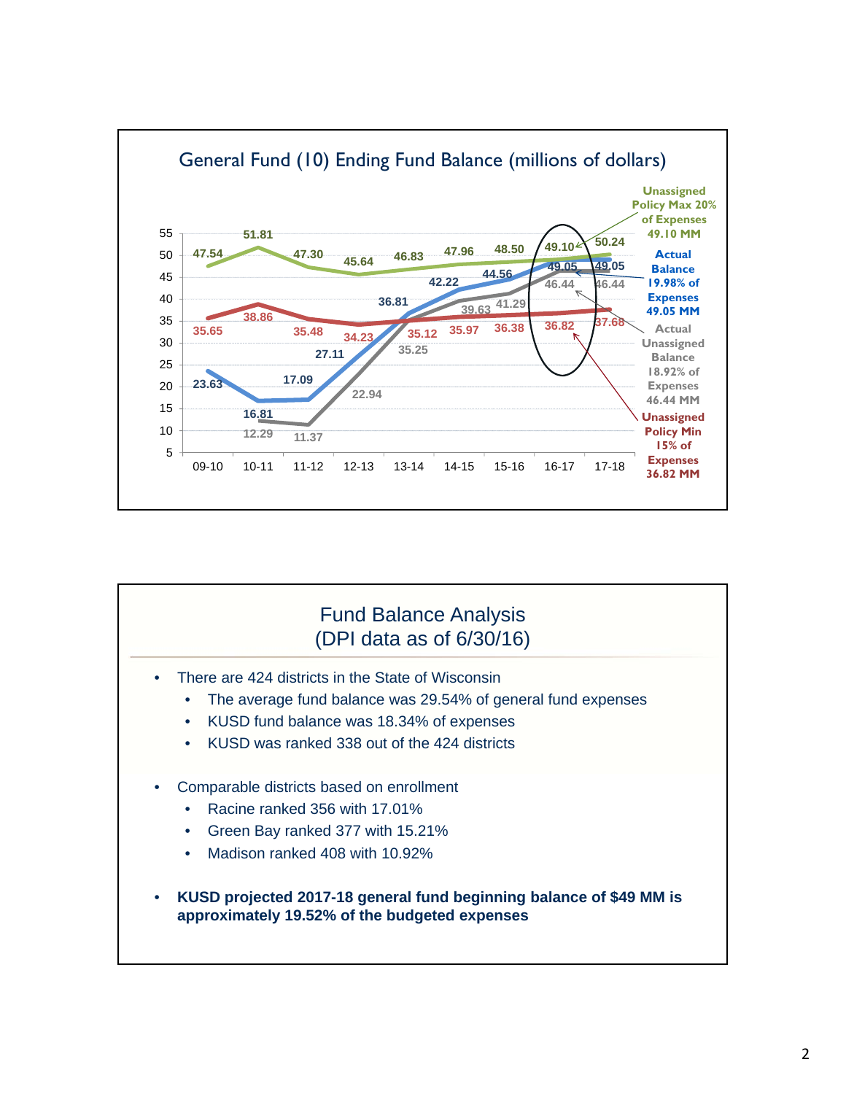

## Fund Balance Analysis (DPI data as of 6/30/16)

- There are 424 districts in the State of Wisconsin
	- The average fund balance was 29.54% of general fund expenses
	- KUSD fund balance was 18.34% of expenses
	- KUSD was ranked 338 out of the 424 districts
- Comparable districts based on enrollment
	- Racine ranked 356 with 17.01%
	- Green Bay ranked 377 with 15.21%
	- Madison ranked 408 with 10.92%
- **KUSD projected 2017-18 general fund beginning balance of \$49 MM is approximately 19.52% of the budgeted expenses**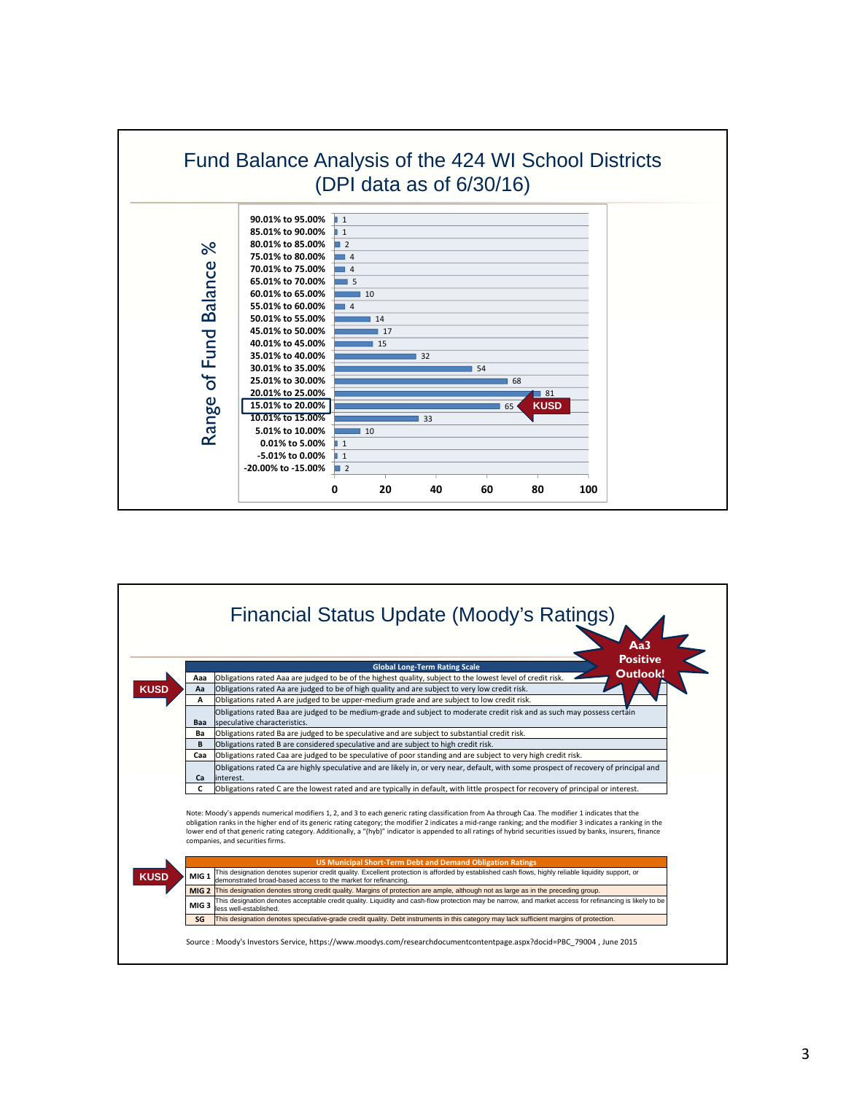

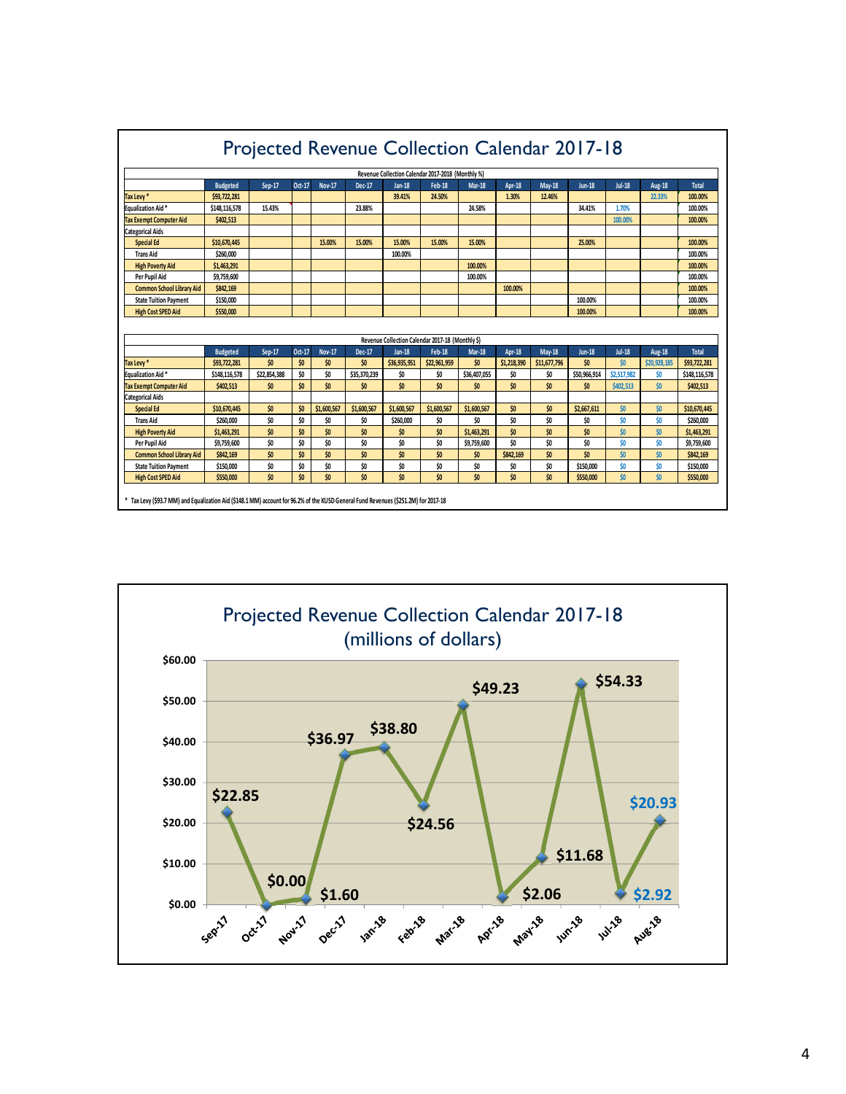| Projected Revenue Collection Calendar 2017-18                                                                                       |                 |              |        |               |              |               |                                                  |               |               |               |               |               |               |               |
|-------------------------------------------------------------------------------------------------------------------------------------|-----------------|--------------|--------|---------------|--------------|---------------|--------------------------------------------------|---------------|---------------|---------------|---------------|---------------|---------------|---------------|
| Revenue Collection Calendar 2017-2018 (Monthly %)                                                                                   |                 |              |        |               |              |               |                                                  |               |               |               |               |               |               |               |
|                                                                                                                                     | <b>Budgeted</b> | Sep-17       | Oct-17 | <b>Nov-17</b> | Dec-17       | <b>Jan-18</b> | <b>Feb-18</b>                                    | <b>Mar-18</b> | <b>Apr-18</b> | <b>May-18</b> | <b>Jun-18</b> | <b>Jul-18</b> | <b>Aug-18</b> | <b>Total</b>  |
| Tax Levy*                                                                                                                           | \$93,722,281    |              |        |               |              | 39.41%        | 24.50%                                           |               | 1.30%         | 12.46%        |               |               | 22.33%        | 100.00%       |
| <b>Equalization Aid*</b>                                                                                                            | \$148,116,578   | 15.43%       |        |               | 23.88%       |               |                                                  | 24.58%        |               |               | 34.41%        | 1.70%         |               | 100.00%       |
| <b>Tax Exempt Computer Aid</b>                                                                                                      | \$402,513       |              |        |               |              |               |                                                  |               |               |               |               | 100.00%       |               | 100.00%       |
| <b>Categorical Aids</b>                                                                                                             |                 |              |        |               |              |               |                                                  |               |               |               |               |               |               |               |
| <b>Special Ed</b>                                                                                                                   | \$10,670,445    |              |        | 15.00%        | 15.00%       | 15.00%        | 15.00%                                           | 15,00%        |               |               | 25.00%        |               |               | 100.00%       |
| <b>Trans Aid</b>                                                                                                                    | \$260,000       |              |        |               |              | 100.00%       |                                                  |               |               |               |               |               |               | 100.00%       |
| <b>High Poverty Aid</b>                                                                                                             | \$1,463,291     |              |        |               |              |               |                                                  | 100.00%       |               |               |               |               |               | 100.00%       |
| Per Pupil Aid                                                                                                                       | \$9.759.600     |              |        |               |              |               |                                                  | 100.00%       |               |               |               |               |               | 100.00%       |
| <b>Common School Library Aid</b>                                                                                                    | \$842.169       |              |        |               |              |               |                                                  |               | 100.00%       |               |               |               |               | 100.00%       |
| <b>State Tuition Payment</b>                                                                                                        | \$150,000       |              |        |               |              |               |                                                  |               |               |               | 100.00%       |               |               | 100.00%       |
| <b>High Cost SPED Aid</b>                                                                                                           | \$550.000       |              |        |               |              |               |                                                  |               |               |               | 100.00%       |               |               | 100.00%       |
|                                                                                                                                     |                 |              |        |               |              |               |                                                  |               |               |               |               |               |               |               |
|                                                                                                                                     |                 |              |        |               |              |               | Revenue Collection Calendar 2017-18 (Monthly \$) |               |               |               |               |               |               |               |
|                                                                                                                                     | <b>Budgeted</b> | Sep-17       | Oct-17 | <b>Nov-17</b> | Dec-17       | <b>Jan-18</b> | <b>Feb-18</b>                                    | <b>Mar-18</b> | Apr-18        | $May-18$      | <b>Jun-18</b> | <b>Jul-18</b> | <b>Aug-18</b> | <b>Total</b>  |
| Tax Levy*                                                                                                                           | \$93.722.281    | \$0          | \$0    | ŚO.           | \$0          | \$36,935,951  | \$22,961.959                                     | \$0           | \$1.218.390   | \$11,677,796  | \$0           | \$0           | \$20,928.185  | \$93.722.281  |
| Equalization Aid*                                                                                                                   | \$148,116,578   | \$22,854,388 | ŚO     | ŚO.           | \$35,370,239 | \$0           | \$0                                              | \$36,407,055  | \$0           | \$0           | \$50,966,914  | \$2,517,982   | \$0           | \$148,116,578 |
| <b>Tax Exempt Computer Aid</b>                                                                                                      | \$402.513       | \$0          | \$0    | \$0           | \$0          | ŚO.           | \$0                                              | \$0           | \$0           | \$0           | \$0           | \$402.513     | \$0           | \$402.513     |
| <b>Categorical Aids</b>                                                                                                             |                 |              |        |               |              |               |                                                  |               |               |               |               |               |               |               |
| <b>Special Ed</b>                                                                                                                   | \$10,670,445    | \$0          | \$0    | \$1,600,567   | \$1,600,567  | \$1,600.567   | \$1,600.567                                      | \$1,600.567   | \$0           | \$0           | \$2,667.611   | \$0           | \$0           | \$10.670.445  |
| <b>Trans Aid</b>                                                                                                                    | \$260,000       | ŚO.          | \$O    | \$O           | \$O          | \$260,000     | \$O                                              | \$O           | \$O           | ŚO            | \$O           | \$0           | \$0           | \$260,000     |
| <b>High Poverty Aid</b>                                                                                                             | \$1,463,291     | \$0          | \$0    | ŚO.           | \$0          | \$O           | \$0                                              | \$1.463.291   | \$0           | \$0           | \$0           | \$0           | \$0           | \$1,463,291   |
| Per Pupil Aid                                                                                                                       | \$9,759,600     | \$0          | \$0    | \$0           | \$0          | \$0           | \$0                                              | \$9,759,600   | \$0           | \$0           | \$0           | \$0           | \$0           | \$9,759,600   |
| Common School Library Aid                                                                                                           | \$842.169       | \$0          | \$0    | \$0           | \$0          | \$0           | \$0                                              | \$0           | \$842,169     | \$0           | \$0           | \$0           | \$0           | \$842.169     |
| <b>State Tuition Payment</b>                                                                                                        | \$150,000       | \$0          | \$0    | ŚO.           | \$0          | ŚO.           | \$0                                              | \$0           | \$0           | \$0           | \$150,000     | \$0           | \$0           | \$150,000     |
| <b>High Cost SPED Aid</b>                                                                                                           | \$550,000       | \$0          | \$0    | \$0           | \$0          | \$0           | \$0                                              | \$0           | \$0           | \$0           | \$550,000     | \$0           | \$0           | \$550,000     |
| * Tax Levy (\$93.7 MM) and Equalization Aid (\$148.1 MM) account for 96.2% of the KUSD General Fund Revenues (\$251.2M) for 2017-18 |                 |              |        |               |              |               |                                                  |               |               |               |               |               |               |               |

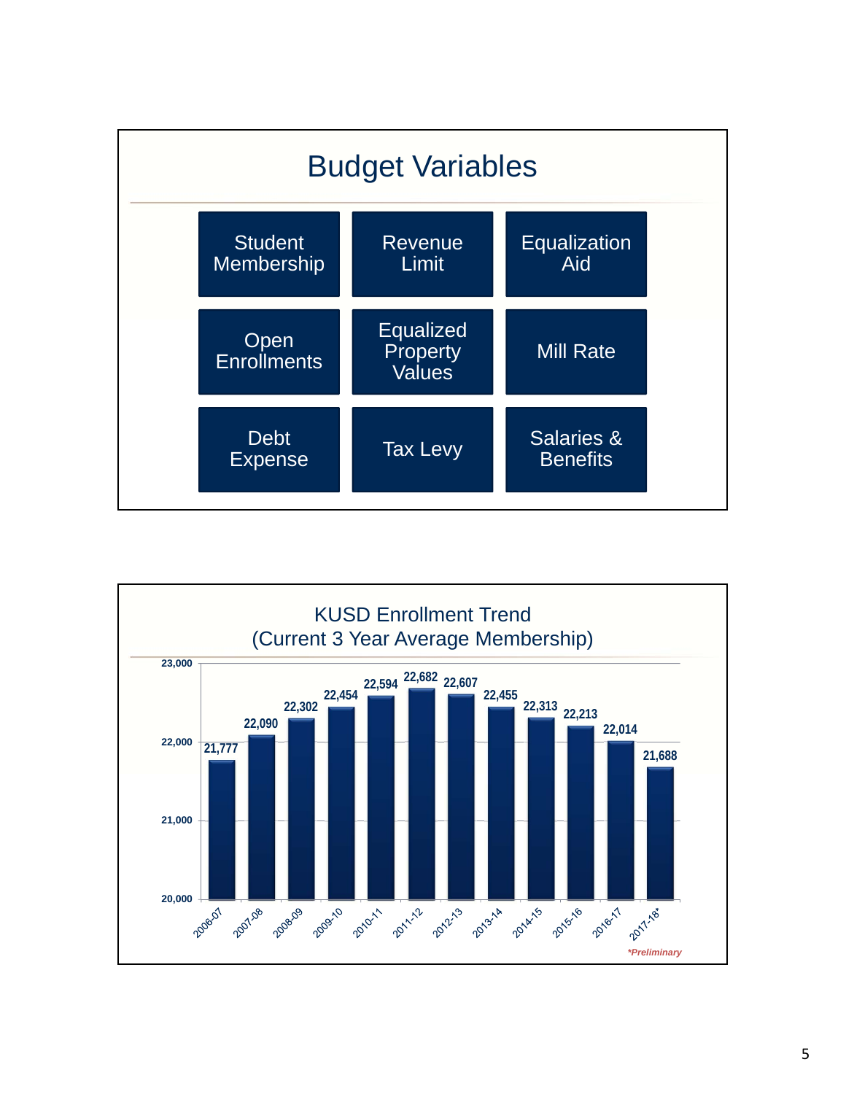

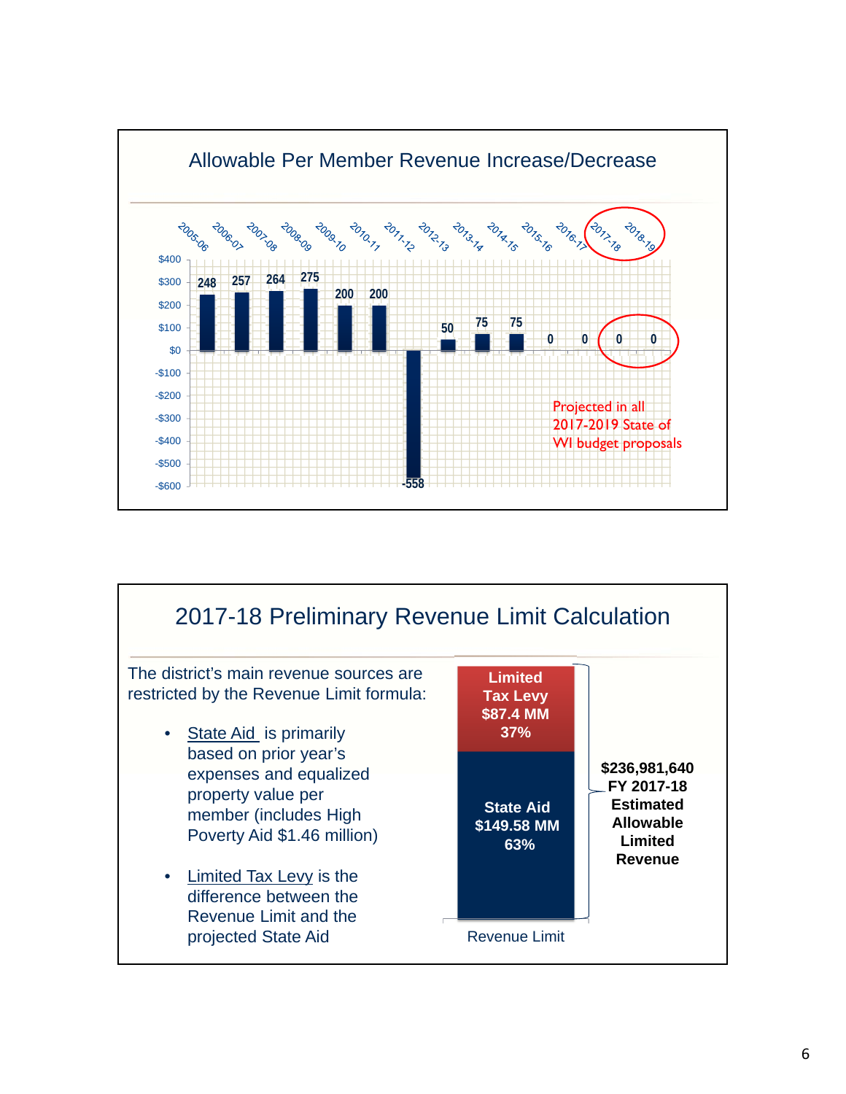

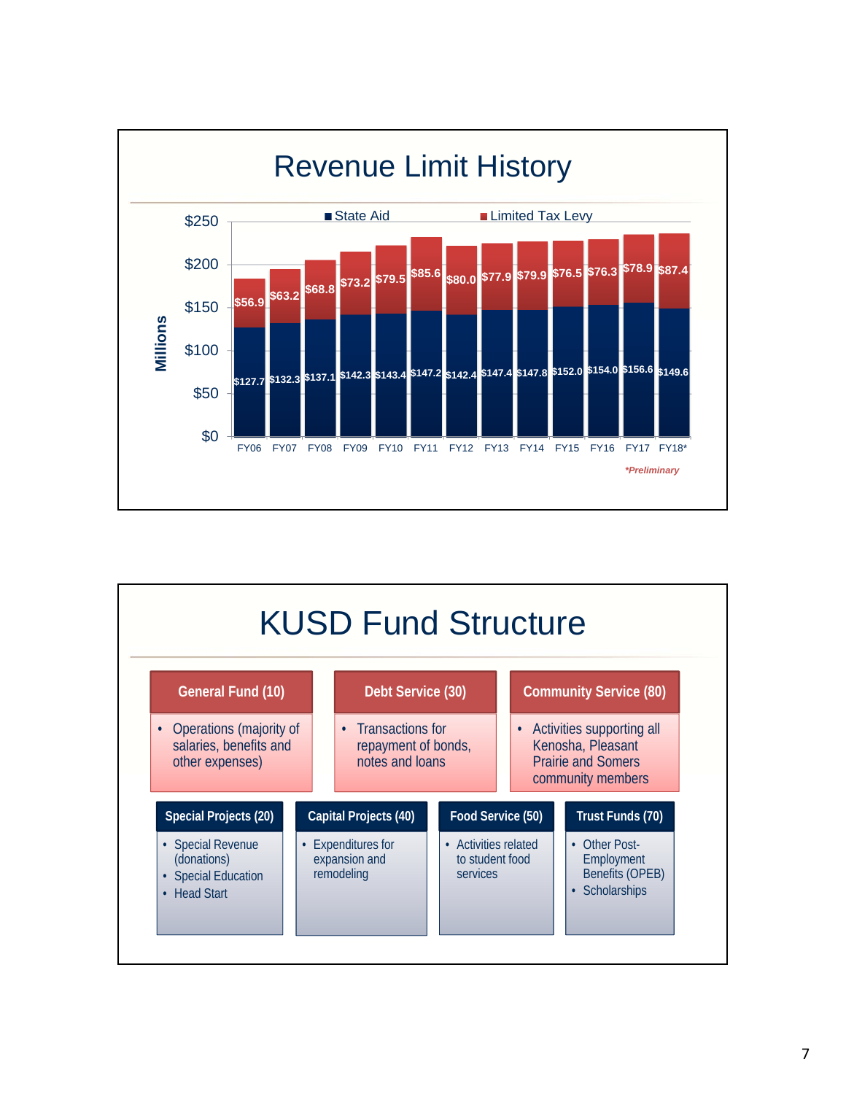

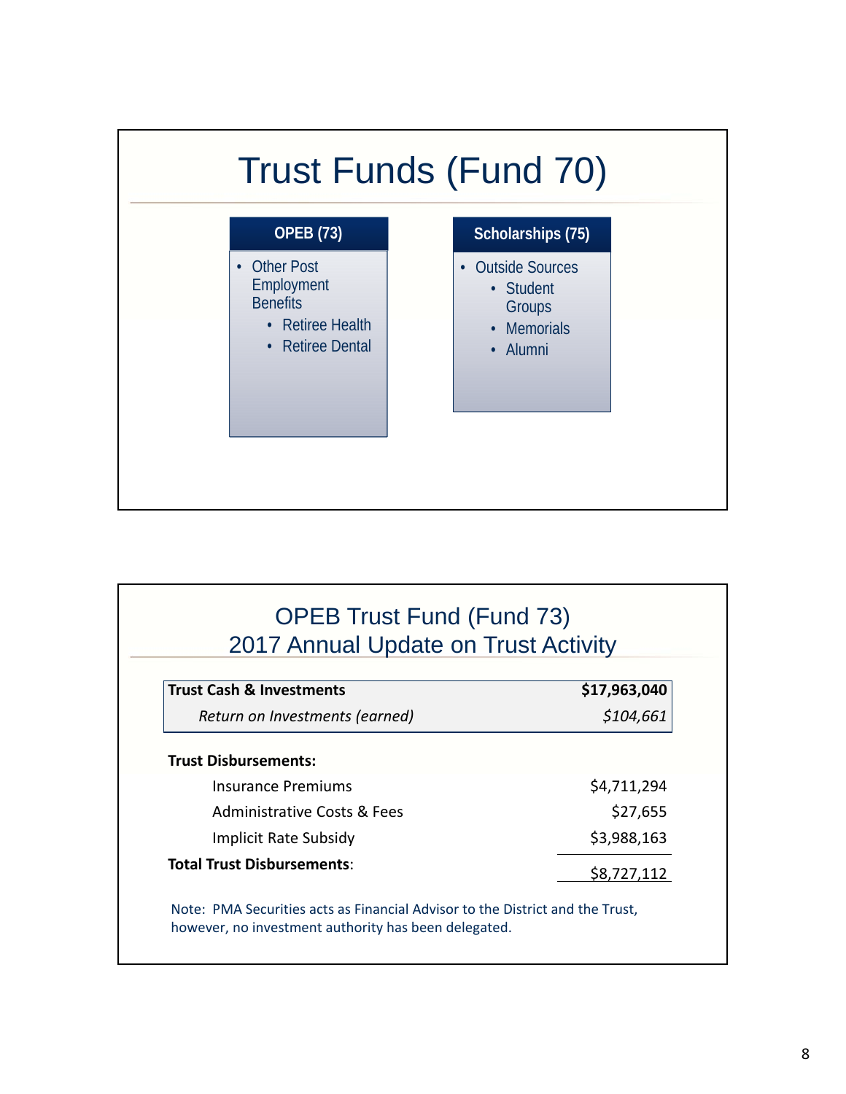

| <b>OPEB Trust Fund (Fund 73)</b><br>2017 Annual Update on Trust Activity |              |
|--------------------------------------------------------------------------|--------------|
| <b>Trust Cash &amp; Investments</b>                                      | \$17,963,040 |
| Return on Investments (earned)                                           | \$104,661    |
| <b>Trust Disbursements:</b>                                              |              |
| Insurance Premiums                                                       | \$4,711,294  |
| <b>Administrative Costs &amp; Fees</b>                                   | \$27,655     |
| <b>Implicit Rate Subsidy</b>                                             | \$3,988,163  |
| <b>Total Trust Disbursements:</b>                                        | S8.727.112   |

Note: PMA Securities acts as Financial Advisor to the District and the Trust, however, no investment authority has been delegated.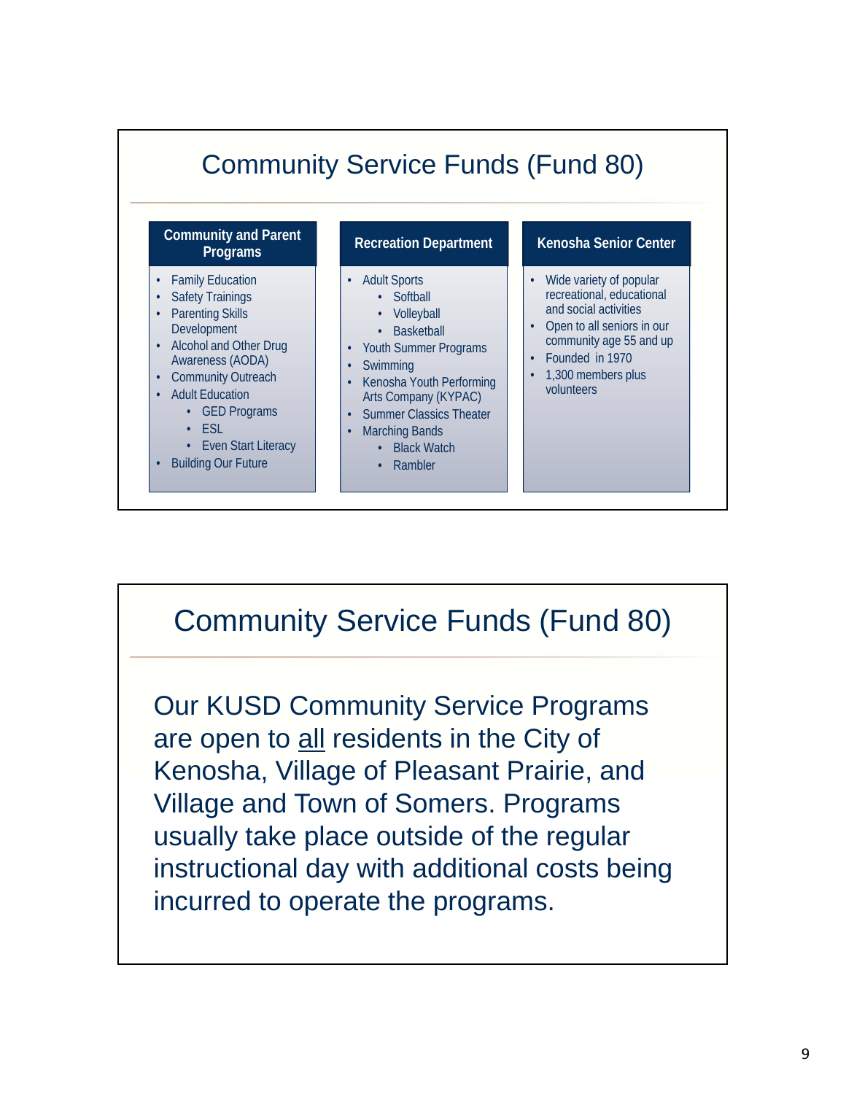

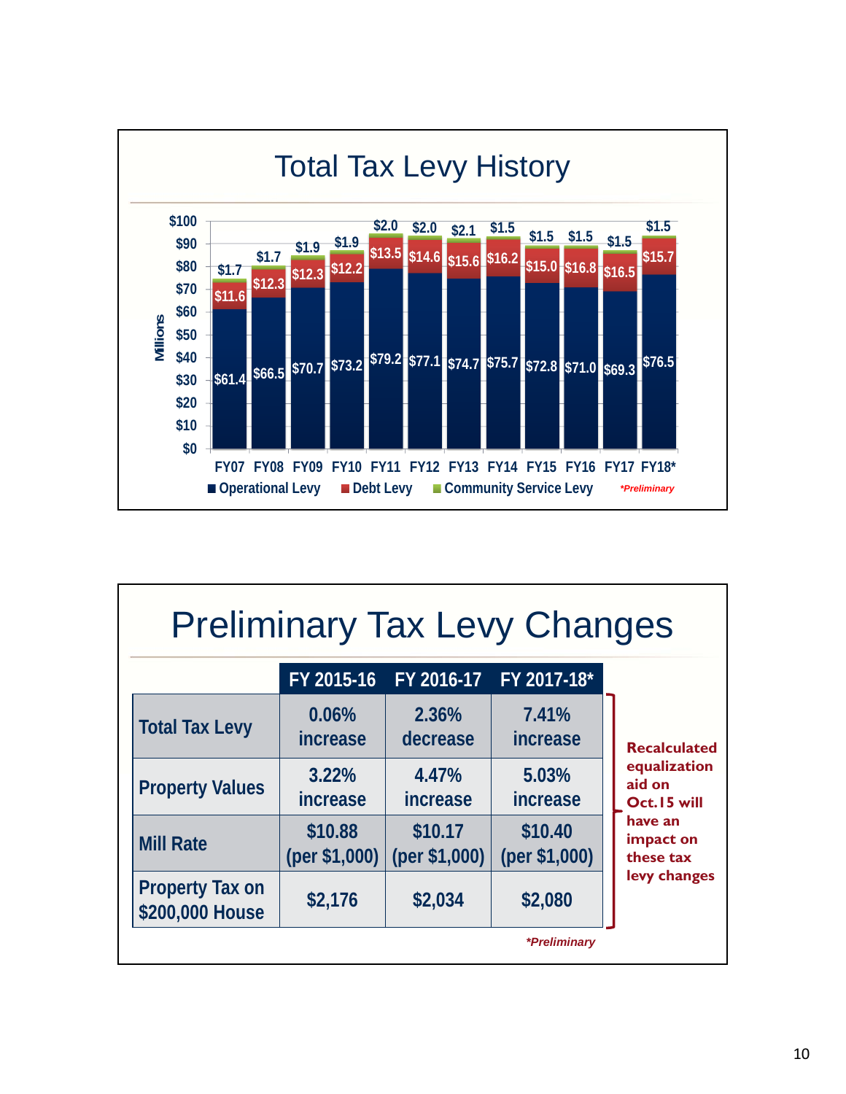

| <b>Preliminary Tax Levy Changes</b>       |                          |                          |                          |                                       |  |  |  |
|-------------------------------------------|--------------------------|--------------------------|--------------------------|---------------------------------------|--|--|--|
|                                           | FY 2015-16               | FY 2016-17               | FY 2017-18*              |                                       |  |  |  |
| <b>Total Tax Levy</b>                     | 0.06%<br><i>increase</i> | 2.36%<br>decrease        | 7.41%<br><i>increase</i> | <b>Recalculated</b>                   |  |  |  |
| <b>Property Values</b>                    | 3.22%<br>increase        | 4.47%<br>increase        | 5.03%<br><i>increase</i> | equalization<br>aid on<br>Oct.15 will |  |  |  |
| <b>Mill Rate</b>                          | \$10.88<br>(per \$1,000) | \$10.17<br>(per \$1,000) | \$10.40<br>(per \$1,000) | have an<br>impact on<br>these tax     |  |  |  |
| <b>Property Tax on</b><br>\$200,000 House | \$2,176                  | \$2,034                  | \$2,080                  | levy changes                          |  |  |  |
|                                           |                          |                          | *Preliminary             |                                       |  |  |  |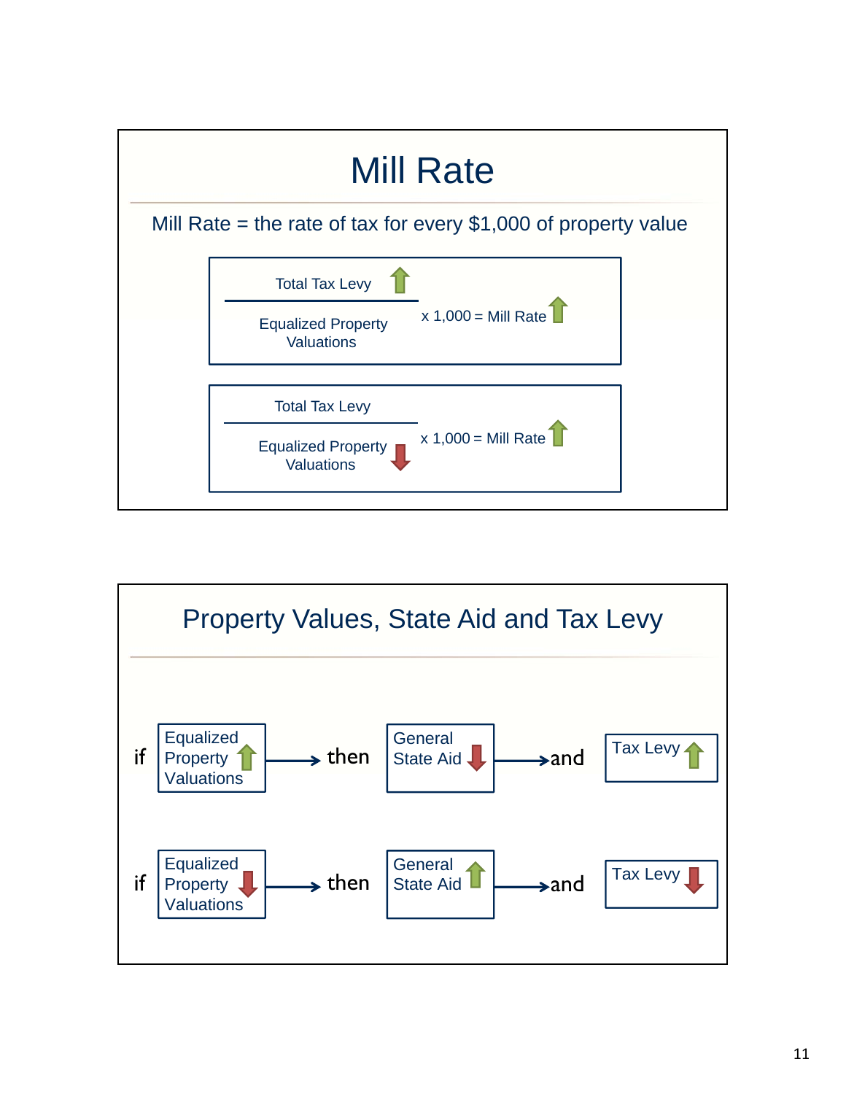